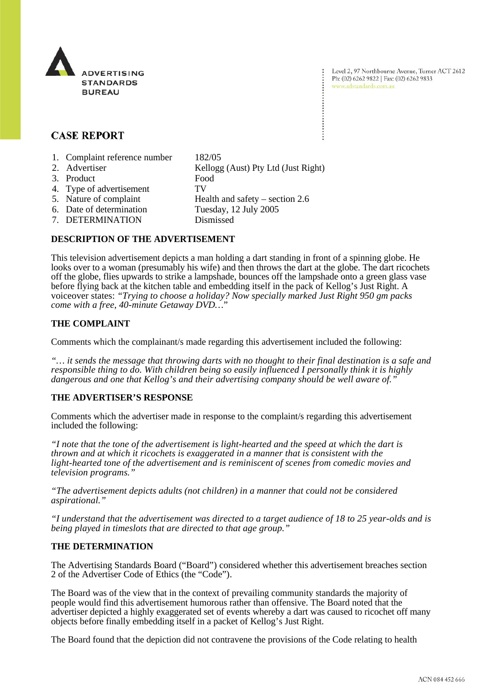

Level 2, 97 Northbourne Avenue, Turner ACT 2612 Ph: (02) 6262 9822 | Fax: (02) 6262 9833 www.adstandards.com.au

# **CASE REPORT**

- 1. Complaint reference number 182/05
- 2. Advertiser Kellogg (Aust) Pty Ltd (Just Right) 3. Product Food 4. Type of advertisement TV 5. Nature of complaint Health and safety – section 2.6 6. Date of determination Tuesday, 12 July 2005 7. DETERMINATION Dismissed

## **DESCRIPTION OF THE ADVERTISEMENT**

This television advertisement depicts a man holding a dart standing in front of a spinning globe. He looks over to a woman (presumably his wife) and then throws the dart at the globe. The dart ricochets off the globe, flies upwards to strike a lampshade, bounces off the lampshade onto a green glass vase before flying back at the kitchen table and embedding itself in the pack of Kellog's Just Right. A voiceover states: *"Trying to choose a holiday? Now specially marked Just Right 950 gm packs come with a free, 40-minute Getaway DVD…*"

## **THE COMPLAINT**

Comments which the complainant/s made regarding this advertisement included the following:

*"… it sends the message that throwing darts with no thought to their final destination is a safe and responsible thing to do. With children being so easily influenced I personally think it is highly dangerous and one that Kellog's and their advertising company should be well aware of."*

### **THE ADVERTISER'S RESPONSE**

Comments which the advertiser made in response to the complaint/s regarding this advertisement included the following:

*"I note that the tone of the advertisement is light-hearted and the speed at which the dart is thrown and at which it ricochets is exaggerated in a manner that is consistent with the light-hearted tone of the advertisement and is reminiscent of scenes from comedic movies and television programs."*

*"The advertisement depicts adults (not children) in a manner that could not be considered aspirational."*

*"I understand that the advertisement was directed to a target audience of 18 to 25 year-olds and is being played in timeslots that are directed to that age group."*

### **THE DETERMINATION**

The Advertising Standards Board ("Board") considered whether this advertisement breaches section 2 of the Advertiser Code of Ethics (the "Code").

The Board was of the view that in the context of prevailing community standards the majority of people would find this advertisement humorous rather than offensive. The Board noted that the advertiser depicted a highly exaggerated set of events whereby a dart was caused to ricochet off many objects before finally embedding itself in a packet of Kellog's Just Right.

The Board found that the depiction did not contravene the provisions of the Code relating to health